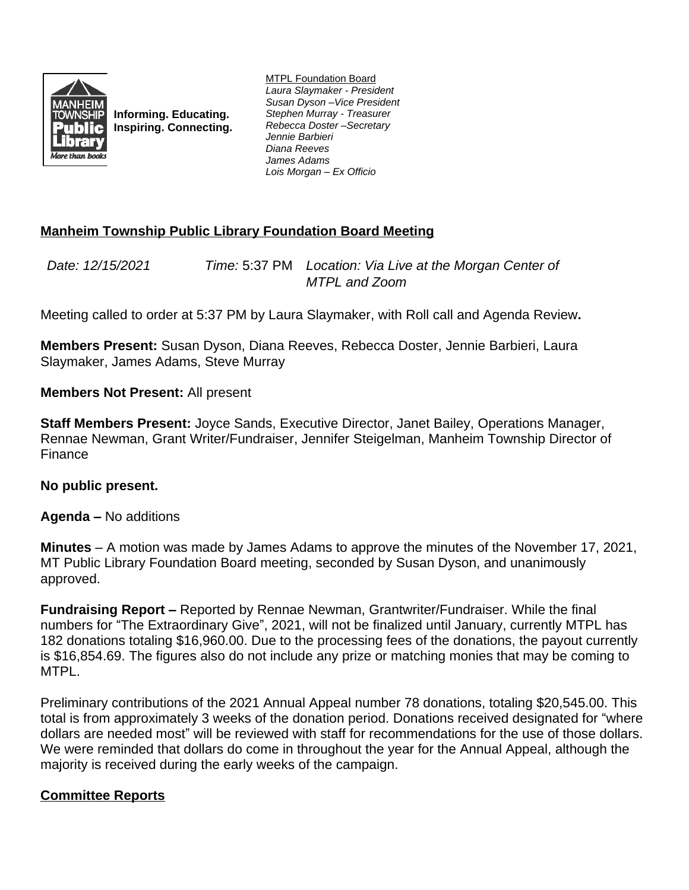

**Informing. Educating. Inspiring. Connecting.** MTPL Foundation Board *Laura Slaymaker - President Susan Dyson –Vice President Stephen Murray - Treasurer Rebecca Doster –Secretary Jennie Barbieri Diana Reeves James Adams Lois Morgan – Ex Officio*

# **Manheim Township Public Library Foundation Board Meeting**

*Date: 12/15/2021 Time:* 5:37 PM *Location: Via Live at the Morgan Center of MTPL and Zoom*

Meeting called to order at 5:37 PM by Laura Slaymaker, with Roll call and Agenda Review**.**

**Members Present:** Susan Dyson, Diana Reeves, Rebecca Doster, Jennie Barbieri, Laura Slaymaker, James Adams, Steve Murray

### **Members Not Present:** All present

**Staff Members Present:** Joyce Sands, Executive Director, Janet Bailey, Operations Manager, Rennae Newman, Grant Writer/Fundraiser, Jennifer Steigelman, Manheim Township Director of Finance

#### **No public present.**

**Agenda –** No additions

**Minutes** – A motion was made by James Adams to approve the minutes of the November 17, 2021, MT Public Library Foundation Board meeting, seconded by Susan Dyson, and unanimously approved.

**Fundraising Report –** Reported by Rennae Newman, Grantwriter/Fundraiser. While the final numbers for "The Extraordinary Give", 2021, will not be finalized until January, currently MTPL has 182 donations totaling \$16,960.00. Due to the processing fees of the donations, the payout currently is \$16,854.69. The figures also do not include any prize or matching monies that may be coming to MTPL.

Preliminary contributions of the 2021 Annual Appeal number 78 donations, totaling \$20,545.00. This total is from approximately 3 weeks of the donation period. Donations received designated for "where dollars are needed most" will be reviewed with staff for recommendations for the use of those dollars. We were reminded that dollars do come in throughout the year for the Annual Appeal, although the majority is received during the early weeks of the campaign.

## **Committee Reports**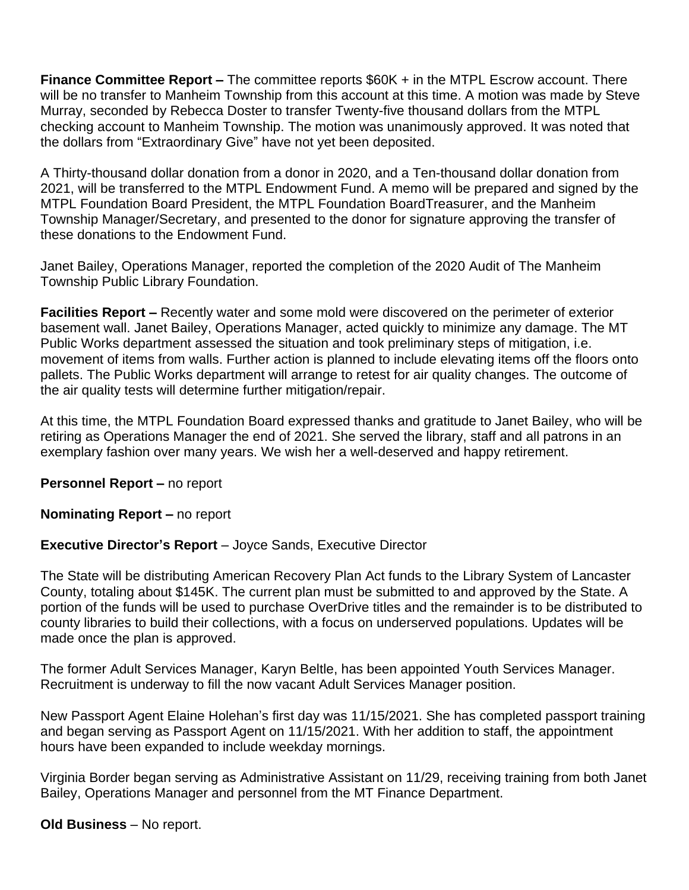**Finance Committee Report –** The committee reports \$60K + in the MTPL Escrow account. There will be no transfer to Manheim Township from this account at this time. A motion was made by Steve Murray, seconded by Rebecca Doster to transfer Twenty-five thousand dollars from the MTPL checking account to Manheim Township. The motion was unanimously approved. It was noted that the dollars from "Extraordinary Give" have not yet been deposited.

A Thirty-thousand dollar donation from a donor in 2020, and a Ten-thousand dollar donation from 2021, will be transferred to the MTPL Endowment Fund. A memo will be prepared and signed by the MTPL Foundation Board President, the MTPL Foundation BoardTreasurer, and the Manheim Township Manager/Secretary, and presented to the donor for signature approving the transfer of these donations to the Endowment Fund.

Janet Bailey, Operations Manager, reported the completion of the 2020 Audit of The Manheim Township Public Library Foundation.

**Facilities Report –** Recently water and some mold were discovered on the perimeter of exterior basement wall. Janet Bailey, Operations Manager, acted quickly to minimize any damage. The MT Public Works department assessed the situation and took preliminary steps of mitigation, i.e. movement of items from walls. Further action is planned to include elevating items off the floors onto pallets. The Public Works department will arrange to retest for air quality changes. The outcome of the air quality tests will determine further mitigation/repair.

At this time, the MTPL Foundation Board expressed thanks and gratitude to Janet Bailey, who will be retiring as Operations Manager the end of 2021. She served the library, staff and all patrons in an exemplary fashion over many years. We wish her a well-deserved and happy retirement.

**Personnel Report – no report** 

**Nominating Report –** no report

## **Executive Director's Report** – Joyce Sands, Executive Director

The State will be distributing American Recovery Plan Act funds to the Library System of Lancaster County, totaling about \$145K. The current plan must be submitted to and approved by the State. A portion of the funds will be used to purchase OverDrive titles and the remainder is to be distributed to county libraries to build their collections, with a focus on underserved populations. Updates will be made once the plan is approved.

The former Adult Services Manager, Karyn Beltle, has been appointed Youth Services Manager. Recruitment is underway to fill the now vacant Adult Services Manager position.

New Passport Agent Elaine Holehan's first day was 11/15/2021. She has completed passport training and began serving as Passport Agent on 11/15/2021. With her addition to staff, the appointment hours have been expanded to include weekday mornings.

Virginia Border began serving as Administrative Assistant on 11/29, receiving training from both Janet Bailey, Operations Manager and personnel from the MT Finance Department.

**Old Business** – No report.